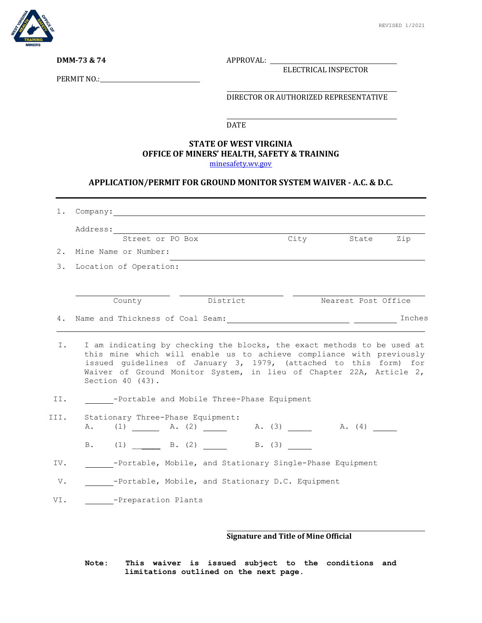

**DMM-73 & 74** APPROVAL:

ELECTRICAL INSPECTOR

PERMIT NO.:

DIRECTOR OR AUTHORIZED REPRESENTATIVE

DATE

## **STATE OF WEST VIRGINIA OFFICE OF MINERS' HEALTH, SAFETY & TRAINING**

[minesafety.wv.gov](https://minesafety.wv.gov/)

## **APPLICATION/PERMIT FOR GROUND MONITOR SYSTEM WAIVER - A.C. & D.C.**

| 1.   | Company: The company of the company of the company of the company of the company of the company of the company of the company of the company of the company of the company of the company of the company of the company of the                                                                                    |          |                     |        |
|------|-------------------------------------------------------------------------------------------------------------------------------------------------------------------------------------------------------------------------------------------------------------------------------------------------------------------|----------|---------------------|--------|
|      | Address:                                                                                                                                                                                                                                                                                                          |          |                     |        |
|      | Street or PO Box                                                                                                                                                                                                                                                                                                  | City     | State               | Zip    |
| 2.   | Mine Name or Number:                                                                                                                                                                                                                                                                                              |          |                     |        |
| 3.   | Location of Operation:                                                                                                                                                                                                                                                                                            |          |                     |        |
|      | County                                                                                                                                                                                                                                                                                                            | District | Nearest Post Office |        |
| 4.   |                                                                                                                                                                                                                                                                                                                   |          |                     | Inches |
| Ι.   | I am indicating by checking the blocks, the exact methods to be used at<br>this mine which will enable us to achieve compliance with previously<br>issued guidelines of January 3, 1979, (attached to this form) for<br>Waiver of Ground Monitor System, in lieu of Chapter 22A, Article 2,<br>Section $40$ (43). |          |                     |        |
| II.  | -Portable and Mobile Three-Phase Equipment                                                                                                                                                                                                                                                                        |          |                     |        |
| III. | Stationary Three-Phase Equipment:<br>A. (1) A. (2) A. (3) A. (4)                                                                                                                                                                                                                                                  |          |                     |        |
|      | B. (1) B. (2) B. (3)                                                                                                                                                                                                                                                                                              |          |                     |        |
| IV.  | -Portable, Mobile, and Stationary Single-Phase Equipment                                                                                                                                                                                                                                                          |          |                     |        |
| V.   | -Portable, Mobile, and Stationary D.C. Equipment                                                                                                                                                                                                                                                                  |          |                     |        |
| VI.  | -Preparation Plants                                                                                                                                                                                                                                                                                               |          |                     |        |
|      |                                                                                                                                                                                                                                                                                                                   |          |                     |        |
|      |                                                                                                                                                                                                                                                                                                                   |          |                     |        |

## **Signature and Title of Mine Official**

**Note: This waiver is issued subject to the conditions and limitations outlined on the next page.**